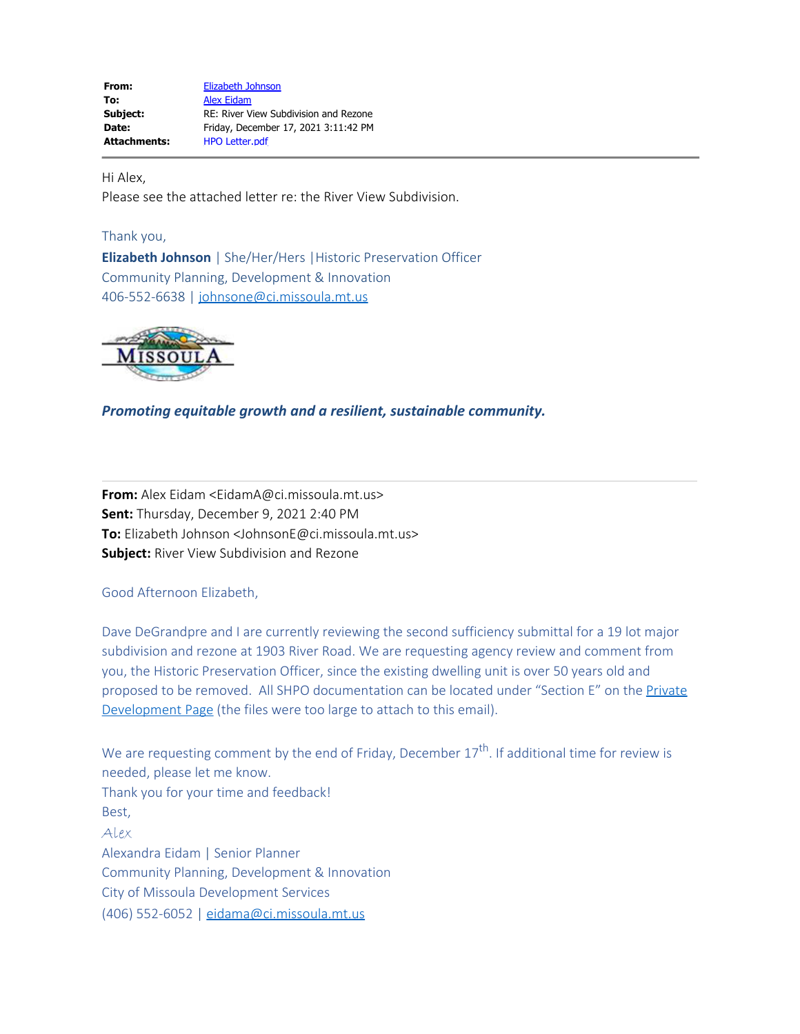**From:** [Elizabeth Johnson](mailto:JohnsonE@ci.missoula.mt.us) To: [Alex Eidam](mailto:EidamA@ci.missoula.mt.us) **Subject:** RE: River View Subdivision and Rezone **Date:** Friday, December 17, 2021 3:11:42 PM **Attachments:** HPO Letter.pdf

Hi Alex,

Please see the attached letter re: the River View Subdivision.

## Thank you,

**Elizabeth Johnson** | She/Her/Hers |Historic Preservation Officer Community Planning, Development & Innovation 406-552-6638 | [johnsone@ci.missoula.mt.us](mailto:johnsone@ci.missoula.mt.us)



*Promoting equitable growth and a resilient, sustainable community.*

**From:** Alex Eidam <EidamA@ci.missoula.mt.us> **Sent:** Thursday, December 9, 2021 2:40 PM **To:** Elizabeth Johnson <JohnsonE@ci.missoula.mt.us> **Subject:** River View Subdivision and Rezone

Good Afternoon Elizabeth,

Dave DeGrandpre and I are currently reviewing the second sufficiency submittal for a 19 lot major subdivision and rezone at 1903 River Road. We are requesting agency review and comment from you, the Historic Preservation Officer, since the existing dwelling unit is over 50 years old and proposed to be removed. All SHPO documentation can be located under "Section E" on the [Private](https://www.ci.missoula.mt.us/2837/River-View-Subdivision-and-Rezone) [Development Page](https://www.ci.missoula.mt.us/2837/River-View-Subdivision-and-Rezone) (the files were too large to attach to this email).

We are requesting comment by the end of Friday, December  $17<sup>th</sup>$ . If additional time for review is needed, please let me know. Thank you for your time and feedback! Best, Alex Alexandra Eidam | Senior Planner Community Planning, Development & Innovation City of Missoula Development Services (406) 552-6052 | [eidama@ci.missoula.mt.us](mailto:eidama@ci.missoula.mt.us)